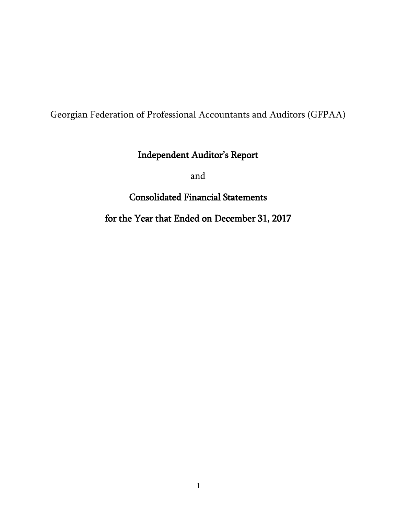# Georgian Federation of Professional Accountants and Auditors (GFPAA)

# Independent Auditor's Report

and

# Consolidated Financial Statements

# for the Year that Ended on December 31, 2017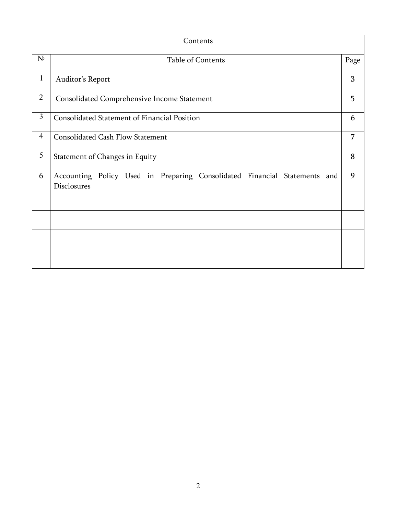| Contents       |                                                                                          |      |  |  |  |  |
|----------------|------------------------------------------------------------------------------------------|------|--|--|--|--|
| $N^{\circ}$    | Table of Contents                                                                        | Page |  |  |  |  |
| $\mathbf{1}$   | Auditor's Report                                                                         | 3    |  |  |  |  |
| $\overline{2}$ | Consolidated Comprehensive Income Statement                                              | 5    |  |  |  |  |
| $\overline{3}$ | Consolidated Statement of Financial Position                                             |      |  |  |  |  |
| $\overline{4}$ | <b>Consolidated Cash Flow Statement</b>                                                  |      |  |  |  |  |
| 5              | Statement of Changes in Equity                                                           | 8    |  |  |  |  |
| 6              | Accounting Policy Used in Preparing Consolidated Financial Statements and<br>Disclosures | 9    |  |  |  |  |
|                |                                                                                          |      |  |  |  |  |
|                |                                                                                          |      |  |  |  |  |
|                |                                                                                          |      |  |  |  |  |
|                |                                                                                          |      |  |  |  |  |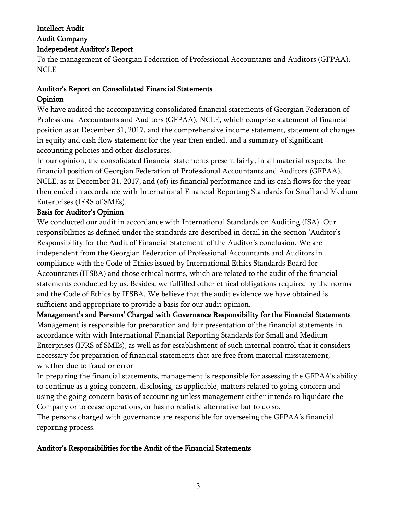## Intellect Audit Audit Company Independent Auditor"s Report

To the management of Georgian Federation of Professional Accountants and Auditors (GFPAA), NCLE

# Auditor"s Report on Consolidated Financial Statements Opinion

We have audited the accompanying consolidated financial statements of Georgian Federation of Professional Accountants and Auditors (GFPAA), NCLE, which comprise statement of financial position as at December 31, 2017, and the comprehensive income statement, statement of changes in equity and cash flow statement for the year then ended, and a summary of significant accounting policies and other disclosures.

In our opinion, the consolidated financial statements present fairly, in all material respects, the financial position of Georgian Federation of Professional Accountants and Auditors (GFPAA), NCLE, as at December 31, 2017, and (of) its financial performance and its cash flows for the year then ended in accordance with International Financial Reporting Standards for Small and Medium Enterprises (IFRS of SMEs).

## Basis for Auditor"s Opinion

We conducted our audit in accordance with International Standards on Auditing (ISA). Our responsibilities as defined under the standards are described in detail in the section "Auditor"s Responsibility for the Audit of Financial Statement' of the Auditor's conclusion. We are independent from the Georgian Federation of Professional Accountants and Auditors in compliance with the Code of Ethics issued by International Ethics Standards Board for Accountants (IESBA) and those ethical norms, which are related to the audit of the financial statements conducted by us. Besides, we fulfilled other ethical obligations required by the norms and the Code of Ethics by IESBA. We believe that the audit evidence we have obtained is sufficient and appropriate to provide a basis for our audit opinion.

Management's and Persons' Charged with Governance Responsibility for the Financial Statements Management is responsible for preparation and fair presentation of the financial statements in accordance with with International Financial Reporting Standards for Small and Medium Enterprises (IFRS of SMEs), as well as for establishment of such internal control that it considers necessary for preparation of financial statements that are free from material misstatement, whether due to fraud or error

In preparing the financial statements, management is responsible for assessing the GFPAA's ability to continue as a going concern, disclosing, as applicable, matters related to going concern and using the going concern basis of accounting unless management either intends to liquidate the Company or to cease operations, or has no realistic alternative but to do so.

The persons charged with governance are responsible for overseeing the GFPAA"s financial reporting process.

## Auditor"s Responsibilities for the Audit of the Financial Statements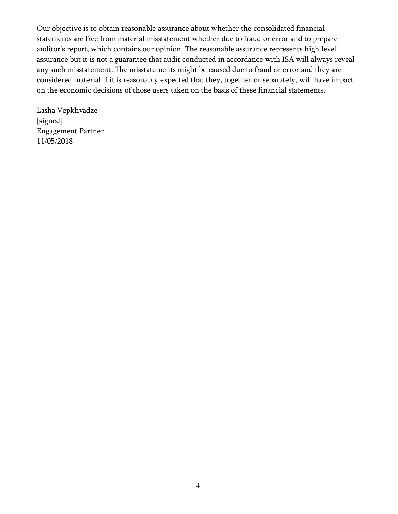Our objective is to obtain reasonable assurance about whether the consolidated financial statements are free from material misstatement whether due to fraud or error and to prepare auditor's report, which contains our opinion. The reasonable assurance represents high level assurance but it is not a guarantee that audit conducted in accordance with ISA will always reveal any such misstatement. The misstatements might be caused due to fraud or error and they are considered material if it is reasonably expected that they, together or separately, will have impact on the economic decisions of those users taken on the basis of these financial statements.

Lasha Vepkhvadze [signed] Engagement Partner 11/05/2018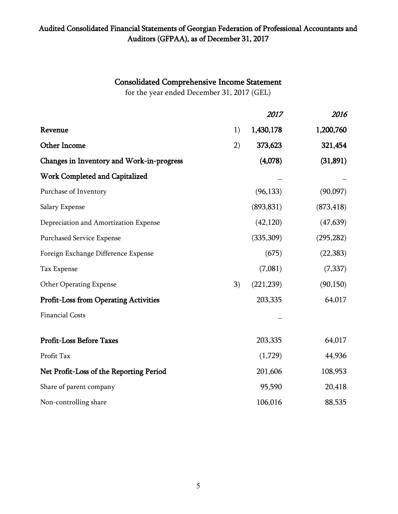## Consolidated Comprehensive Income Statement

for the year ended December 31, 2017 (GEL)

|                                              |    | 2017       | 2016       |
|----------------------------------------------|----|------------|------------|
| Revenue                                      | 1) | 1,430,178  | 1,200,760  |
| <b>Other Income</b>                          | 2) | 373,623    | 321,454    |
| Changes in Inventory and Work-in-progress    |    | (4,078)    | (31,891)   |
| Work Completed and Capitalized               |    |            |            |
| Purchase of Inventory                        |    | (96, 133)  | (90,097)   |
| Salary Expense                               |    | (893, 831) | (873, 418) |
| Depreciation and Amortization Expense        |    | (42, 120)  | (47, 639)  |
| <b>Purchased Service Expense</b>             |    | (335,309)  | (295, 282) |
| Foreign Exchange Difference Expense          |    | (675)      | (22, 383)  |
| Tax Expense                                  |    | (7,081)    | (7, 337)   |
| <b>Other Operating Expense</b>               | 3) | (221, 239) | (90, 150)  |
| <b>Profit-Loss from Operating Activities</b> |    | 203,335    | 64,017     |
| <b>Financial Costs</b>                       |    |            |            |
| <b>Profit-Loss Before Taxes</b>              |    | 203,335    | 64,017     |
| Profit Tax                                   |    | (1,729)    | 44,936     |
| Net Profit-Loss of the Reporting Period      |    | 201,606    | 108,953    |
| Share of parent company                      |    | 95,590     | 20,418     |
| Non-controlling share                        |    | 106,016    | 88,535     |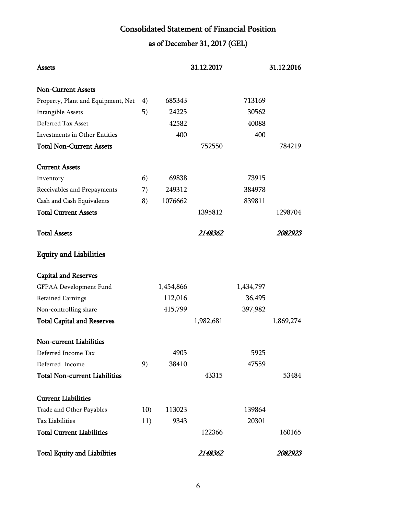# Consolidated Statement of Financial Position

# as of December 31, 2017 (GEL)

| Assets                               |     |           | 31.12.2017 |           | 31.12.2016 |
|--------------------------------------|-----|-----------|------------|-----------|------------|
| <b>Non-Current Assets</b>            |     |           |            |           |            |
| Property, Plant and Equipment, Net   | 4)  | 685343    |            | 713169    |            |
| Intangible Assets                    | 5)  | 24225     |            | 30562     |            |
| Deferred Tax Asset                   |     | 42582     |            | 40088     |            |
| Investments in Other Entities        |     | 400       |            | 400       |            |
| <b>Total Non-Current Assets</b>      |     |           | 752550     |           | 784219     |
| <b>Current Assets</b>                |     |           |            |           |            |
| Inventory                            | 6)  | 69838     |            | 73915     |            |
| Receivables and Prepayments          | 7)  | 249312    |            | 384978    |            |
| Cash and Cash Equivalents            | 8)  | 1076662   |            | 839811    |            |
| <b>Total Current Assets</b>          |     |           | 1395812    |           | 1298704    |
| <b>Total Assets</b>                  |     |           | 2148362    |           | 2082923    |
| <b>Equity and Liabilities</b>        |     |           |            |           |            |
| <b>Capital and Reserves</b>          |     |           |            |           |            |
| GFPAA Development Fund               |     | 1,454,866 |            | 1,434,797 |            |
| <b>Retained Earnings</b>             |     | 112,016   |            | 36,495    |            |
| Non-controlling share                |     | 415,799   |            | 397,982   |            |
| <b>Total Capital and Reserves</b>    |     |           | 1,982,681  |           | 1,869,274  |
| Non-current Liabilities              |     |           |            |           |            |
| Deferred Income Tax                  |     | 4905      |            | 5925      |            |
| Deferred Income                      | 9)  | 38410     |            | 47559     |            |
| <b>Total Non-current Liabilities</b> |     |           | 43315      |           | 53484      |
| <b>Current Liabilities</b>           |     |           |            |           |            |
| Trade and Other Payables             | 10) | 113023    |            | 139864    |            |
| Tax Liabilities                      | 11) | 9343      |            | 20301     |            |
| <b>Total Current Liabilities</b>     |     |           | 122366     |           | 160165     |
| <b>Total Equity and Liabilities</b>  |     |           | 2148362    |           | 2082923    |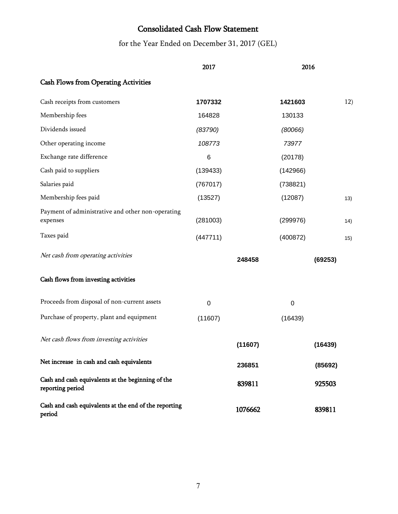# Consolidated Cash Flow Statement

for the Year Ended on December 31, 2017 (GEL)

|                                                                       | 2017        |         | 2016        |         |      |
|-----------------------------------------------------------------------|-------------|---------|-------------|---------|------|
| <b>Cash Flows from Operating Activities</b>                           |             |         |             |         |      |
| Cash receipts from customers                                          | 1707332     |         | 1421603     |         | 12)  |
| Membership fees                                                       | 164828      |         | 130133      |         |      |
| Dividends issued                                                      | (83790)     |         | (80066)     |         |      |
| Other operating income                                                | 108773      |         | 73977       |         |      |
| Exchange rate difference                                              | 6           |         | (20178)     |         |      |
| Cash paid to suppliers                                                | (139433)    |         | (142966)    |         |      |
| Salaries paid                                                         | (767017)    |         | (738821)    |         |      |
| Membership fees paid                                                  | (13527)     |         | (12087)     |         | 13)  |
| Payment of administrative and other non-operating<br>expenses         | (281003)    |         | (299976)    |         | (14) |
| Taxes paid                                                            | (447711)    |         | (400872)    |         | 15)  |
| Net cash from operating activities                                    |             | 248458  |             | (69253) |      |
| Cash flows from investing activities                                  |             |         |             |         |      |
| Proceeds from disposal of non-current assets                          | $\mathbf 0$ |         | $\mathbf 0$ |         |      |
| Purchase of property, plant and equipment                             | (11607)     |         | (16439)     |         |      |
| Net cash flows from investing activities                              |             | (11607) |             | (16439) |      |
| Net increase in cash and cash equivalents                             |             | 236851  |             | (85692) |      |
| Cash and cash equivalents at the beginning of the<br>reporting period |             | 839811  |             | 925503  |      |
| Cash and cash equivalents at the end of the reporting<br>period       |             | 1076662 |             | 839811  |      |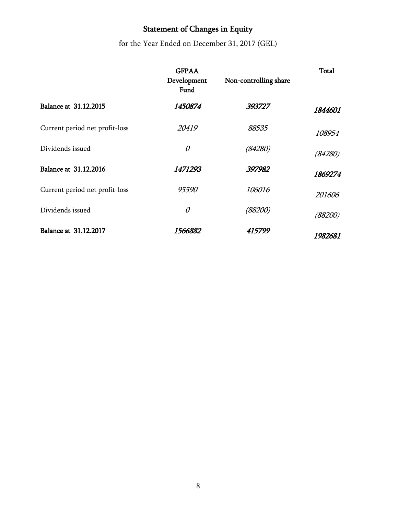# Statement of Changes in Equity

for the Year Ended on December 31, 2017 (GEL)

|                                | <b>GFPAA</b><br>Development<br>Fund | Non-controlling share | Total   |
|--------------------------------|-------------------------------------|-----------------------|---------|
| <b>Balance at 31.12.2015</b>   | 1450874                             | 393727                | 1844601 |
| Current period net profit-loss | 20419                               | 88535                 | 108954  |
| Dividends issued               | $\mathcal O$                        | (84280)               | (84280) |
| <b>Balance at 31.12.2016</b>   | 1471293                             | 397982                | 1869274 |
| Current period net profit-loss | 95590                               | 106016                | 201606  |
| Dividends issued               | 0                                   | (88200)               | (88200) |
| Balance at 31.12.2017          | 1566882                             | 415799                | 1982681 |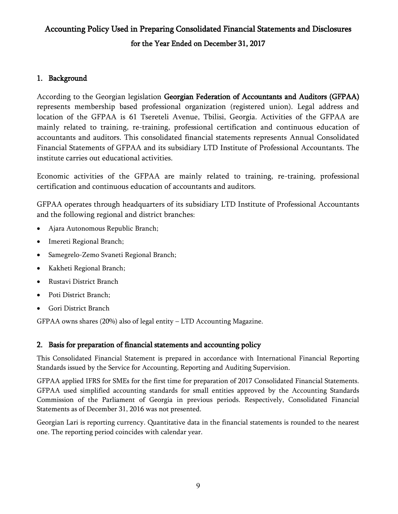# Accounting Policy Used in Preparing Consolidated Financial Statements and Disclosures for the Year Ended on December 31, 2017

## 1. Background

According to the Georgian legislation Georgian Federation of Accountants and Auditors (GFPAA) represents membership based professional organization (registered union). Legal address and location of the GFPAA is 61 Tsereteli Avenue, Tbilisi, Georgia. Activities of the GFPAA are mainly related to training, re-training, professional certification and continuous education of accountants and auditors. This consolidated financial statements represents Annual Consolidated Financial Statements of GFPAA and its subsidiary LTD Institute of Professional Accountants. The institute carries out educational activities.

Economic activities of the GFPAA are mainly related to training, re-training, professional certification and continuous education of accountants and auditors.

GFPAA operates through headquarters of its subsidiary LTD Institute of Professional Accountants and the following regional and district branches:

- Ajara Autonomous Republic Branch;
- Imereti Regional Branch;
- Samegrelo-Zemo Svaneti Regional Branch;
- Kakheti Regional Branch;
- Rustavi District Branch
- Poti District Branch;
- Gori District Branch

GFPAA owns shares (20%) also of legal entity – LTD Accounting Magazine.

## 2. Basis for preparation of financial statements and accounting policy

This Consolidated Financial Statement is prepared in accordance with International Financial Reporting Standards issued by the Service for Accounting, Reporting and Auditing Supervision.

GFPAA applied IFRS for SMEs for the first time for preparation of 2017 Consolidated Financial Statements. GFPAA used simplified accounting standards for small entities approved by the Accounting Standards Commission of the Parliament of Georgia in previous periods. Respectively, Consolidated Financial Statements as of December 31, 2016 was not presented.

Georgian Lari is reporting currency. Quantitative data in the financial statements is rounded to the nearest one. The reporting period coincides with calendar year.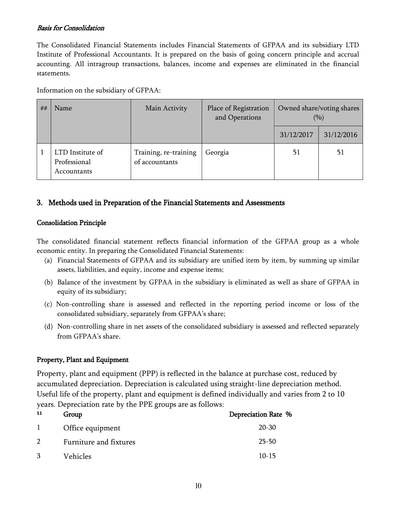#### Basis for Consolidation

The Consolidated Financial Statements includes Financial Statements of GFPAA and its subsidiary LTD Institute of Professional Accountants. It is prepared on the basis of going concern principle and accrual accounting. All intragroup transactions, balances, income and expenses are eliminated in the financial statements.

Information on the subsidiary of GFPAA:

| ## | Name                                            | Main Activity                           | Place of Registration<br>and Operations |            | Owned share/voting shares<br>(9/0) |
|----|-------------------------------------------------|-----------------------------------------|-----------------------------------------|------------|------------------------------------|
|    |                                                 |                                         |                                         | 31/12/2017 | 31/12/2016                         |
|    | LTD Institute of<br>Professional<br>Accountants | Training, re-training<br>of accountants | Georgia                                 | 51         | 51                                 |

### 3. Methods used in Preparation of the Financial Statements and Assessments

#### Consolidation Principle

The consolidated financial statement reflects financial information of the GFPAA group as a whole economic entity. In preparing the Consolidated Financial Statements:

- (a) Financial Statements of GFPAA and its subsidiary are unified item by item, by summing up similar assets, liabilities, and equity, income and expense items;
- (b) Balance of the investment by GFPAA in the subsidiary is eliminated as well as share of GFPAA in equity of its subsidiary;
- (c) Non-controlling share is assessed and reflected in the reporting period income or loss of the consolidated subsidiary, separately from GFPAA"s share;
- (d) Non-controlling share in net assets of the consolidated subsidiary is assessed and reflected separately from GFPAA's share.

#### Property, Plant and Equipment

Property, plant and equipment (PPP) is reflected in the balance at purchase cost, reduced by accumulated depreciation. Depreciation is calculated using straight-line depreciation method. Useful life of the property, plant and equipment is defined individually and varies from 2 to 10 years. Depreciation rate by the PPE groups are as follows:

| 11             | Group                  | Depreciation Rate % |
|----------------|------------------------|---------------------|
|                | Office equipment       | 20-30               |
| $\overline{2}$ | Furniture and fixtures | $25 - 50$           |
| 3              | Vehicles               | $10-15$             |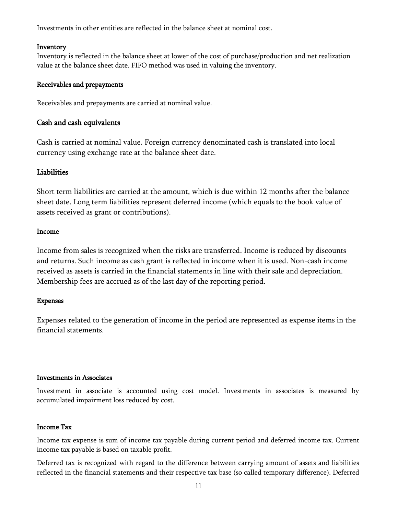Investments in other entities are reflected in the balance sheet at nominal cost.

#### Inventory

Inventory is reflected in the balance sheet at lower of the cost of purchase/production and net realization value at the balance sheet date. FIFO method was used in valuing the inventory.

#### Receivables and prepayments

Receivables and prepayments are carried at nominal value.

#### Cash and cash equivalents

Cash is carried at nominal value. Foreign currency denominated cash is translated into local currency using exchange rate at the balance sheet date.

#### Liabilities

Short term liabilities are carried at the amount, which is due within 12 months after the balance sheet date. Long term liabilities represent deferred income (which equals to the book value of assets received as grant or contributions).

#### Income

Income from sales is recognized when the risks are transferred. Income is reduced by discounts and returns. Such income as cash grant is reflected in income when it is used. Non-cash income received as assets is carried in the financial statements in line with their sale and depreciation. Membership fees are accrued as of the last day of the reporting period.

#### Expenses

Expenses related to the generation of income in the period are represented as expense items in the financial statements.

#### Investments in Associates

Investment in associate is accounted using cost model. Investments in associates is measured by accumulated impairment loss reduced by cost.

#### Income Tax

Income tax expense is sum of income tax payable during current period and deferred income tax. Current income tax payable is based on taxable profit.

Deferred tax is recognized with regard to the difference between carrying amount of assets and liabilities reflected in the financial statements and their respective tax base (so called temporary difference). Deferred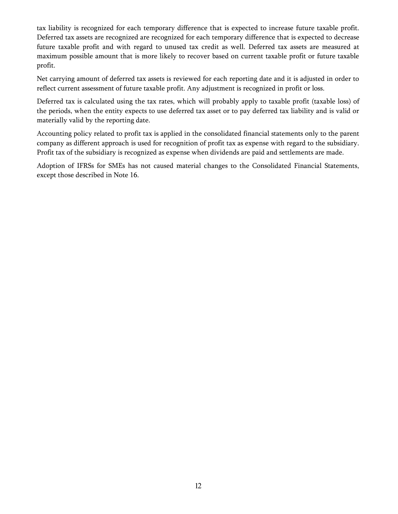tax liability is recognized for each temporary difference that is expected to increase future taxable profit. Deferred tax assets are recognized are recognized for each temporary difference that is expected to decrease future taxable profit and with regard to unused tax credit as well. Deferred tax assets are measured at maximum possible amount that is more likely to recover based on current taxable profit or future taxable profit.

Net carrying amount of deferred tax assets is reviewed for each reporting date and it is adjusted in order to reflect current assessment of future taxable profit. Any adjustment is recognized in profit or loss.

Deferred tax is calculated using the tax rates, which will probably apply to taxable profit (taxable loss) of the periods, when the entity expects to use deferred tax asset or to pay deferred tax liability and is valid or materially valid by the reporting date.

Accounting policy related to profit tax is applied in the consolidated financial statements only to the parent company as different approach is used for recognition of profit tax as expense with regard to the subsidiary. Profit tax of the subsidiary is recognized as expense when dividends are paid and settlements are made.

Adoption of IFRSs for SMEs has not caused material changes to the Consolidated Financial Statements, except those described in Note 16.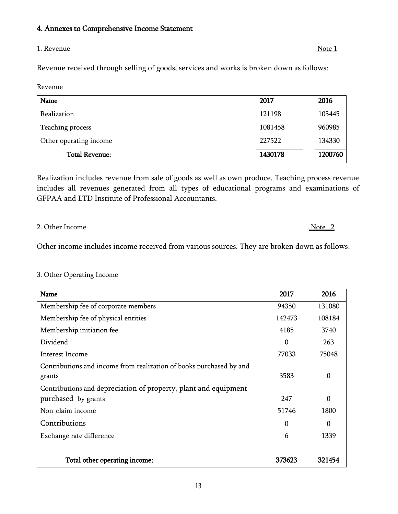#### 4. Annexes to Comprehensive Income Statement

#### 1. Revenue Note 1

Revenue received through selling of goods, services and works is broken down as follows:

Revenue

| Name                   | 2017    | 2016    |
|------------------------|---------|---------|
| Realization            | 121198  | 105445  |
| Teaching process       | 1081458 | 960985  |
| Other operating income | 227522  | 134330  |
| <b>Total Revenue:</b>  | 1430178 | 1200760 |

Realization includes revenue from sale of goods as well as own produce. Teaching process revenue includes all revenues generated from all types of educational programs and examinations of GFPAA and LTD Institute of Professional Accountants.

#### 2. Other Income Note 2

Other income includes income received from various sources. They are broken down as follows:

#### 3. Other Operating Income

| Name                                                                          | 2017     | 2016             |
|-------------------------------------------------------------------------------|----------|------------------|
| Membership fee of corporate members                                           | 94350    | 131080           |
| Membership fee of physical entities                                           | 142473   | 108184           |
| Membership initiation fee                                                     | 4185     | 3740             |
| Dividend                                                                      | $\theta$ | 263              |
| Interest Income                                                               | 77033    | 75048            |
| Contributions and income from realization of books purchased by and<br>grants | 3583     | $\boldsymbol{0}$ |
| Contributions and depreciation of property, plant and equipment               |          |                  |
| purchased by grants                                                           | 247      | $\theta$         |
| Non-claim income                                                              | 51746    | 1800             |
| Contributions                                                                 | 0        | 0                |
| Exchange rate difference                                                      | 6        | 1339             |
| Total other operating income:                                                 | 373623   | 321454           |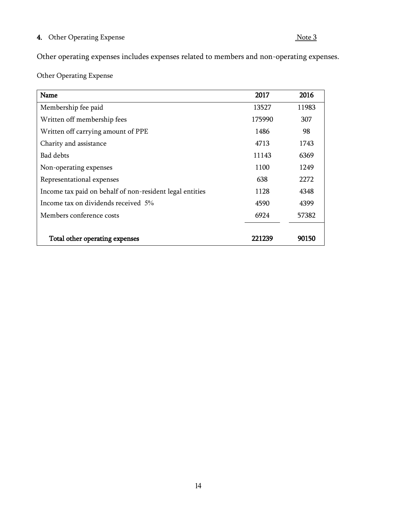## 4. Other Operating Expense Note 3

Other operating expenses includes expenses related to members and non-operating expenses.

Other Operating Expense

| Name                                                     | 2017   | 2016  |
|----------------------------------------------------------|--------|-------|
| Membership fee paid                                      | 13527  | 11983 |
| Written off membership fees                              | 175990 | 307   |
| Written off carrying amount of PPE                       | 1486   | 98    |
| Charity and assistance                                   | 4713   | 1743  |
| Bad debts                                                | 11143  | 6369  |
| Non-operating expenses                                   | 1100   | 1249  |
| Representational expenses                                | 638    | 2272  |
| Income tax paid on behalf of non-resident legal entities | 1128   | 4348  |
| Income tax on dividends received 5%                      | 4590   | 4399  |
| Members conference costs                                 | 6924   | 57382 |
|                                                          |        |       |
| Total other operating expenses                           | 221239 | 90150 |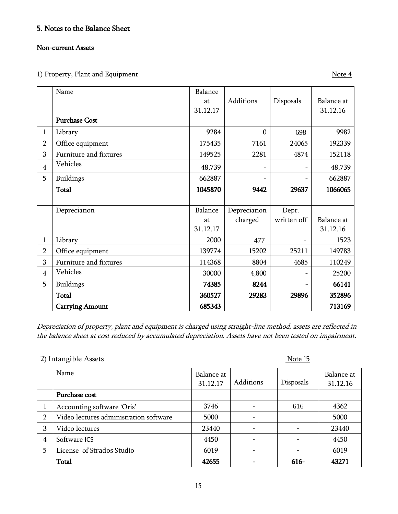# 5. Notes to the Balance Sheet

### Non-current Assets

1) Property, Plant and Equipment  $\frac{\text{Note 4}}{\text{1}}$ 

|                | Name                   | Balance  |                  |             |            |
|----------------|------------------------|----------|------------------|-------------|------------|
|                |                        | at       | Additions        | Disposals   | Balance at |
|                |                        | 31.12.17 |                  |             | 31.12.16   |
|                | <b>Purchase Cost</b>   |          |                  |             |            |
| $\mathbf{1}$   | Library                | 9284     | $\boldsymbol{0}$ | 698         | 9982       |
| 2              | Office equipment       | 175435   | 7161             | 24065       | 192339     |
| 3              | Furniture and fixtures | 149525   | 2281             | 4874        | 152118     |
| $\overline{4}$ | Vehicles               | 48,739   |                  |             | 48,739     |
| 5              | Buildings              | 662887   |                  |             | 662887     |
|                | <b>Total</b>           | 1045870  | 9442             | 29637       | 1066065    |
|                |                        |          |                  |             |            |
|                | Depreciation           | Balance  | Depreciation     | Depr.       |            |
|                |                        | at       | charged          | written off | Balance at |
|                |                        | 31.12.17 |                  |             | 31.12.16   |
| $\mathbf{1}$   | Library                | 2000     | 477              |             | 1523       |
| $\overline{2}$ | Office equipment       | 139774   | 15202            | 25211       | 149783     |
| 3              | Furniture and fixtures | 114368   | 8804             | 4685        | 110249     |
| $\overline{4}$ | Vehicles               | 30000    | 4,800            |             | 25200      |
| 5              | Buildings              | 74385    | 8244             |             | 66141      |
|                | Total                  | 360527   | 29283            | 29896       | 352896     |
|                | <b>Carrying Amount</b> | 685343   |                  |             | 713169     |

Depreciation of property, plant and equipment is charged using straight-line method, assets are reflected in the balance sheet at cost reduced by accumulated depreciation. Assets have not been tested on impairment.

|                | $\epsilon$ / intuitectore <i>thore</i> |                        |           | 100C      |                        |
|----------------|----------------------------------------|------------------------|-----------|-----------|------------------------|
|                | Name                                   | Balance at<br>31.12.17 | Additions | Disposals | Balance at<br>31.12.16 |
|                | Purchase cost                          |                        |           |           |                        |
|                | Accounting software 'Oris'             | 3746                   |           | 616       | 4362                   |
| $\overline{2}$ | Video lectures administration software | 5000                   |           |           | 5000                   |
| 3              | Video lectures                         | 23440                  |           |           | 23440                  |
| 4              | Software ICS                           | 4450                   |           |           | 4450                   |
| 5              | License of Strados Studio              | 6019                   |           |           | 6019                   |
|                | <b>Total</b>                           | 42655                  |           | 616-      | 43271                  |

# $2)$  Intangible Assets  $\frac{15}{5}$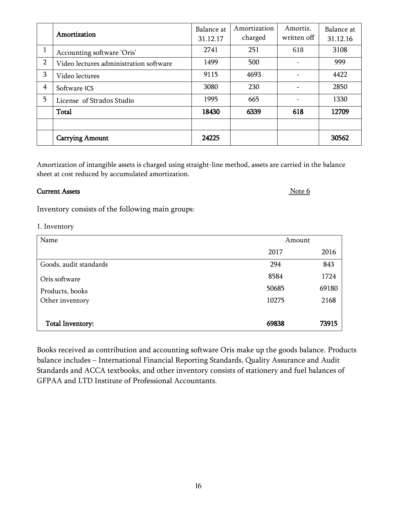|                | Amortization                           | Balance at | Amortization | Amortiz.    | Balance at |
|----------------|----------------------------------------|------------|--------------|-------------|------------|
|                |                                        | 31.12.17   | charged      | written off | 31.12.16   |
|                | Accounting software 'Oris'             | 2741       | 251          | 618         | 3108       |
| $\overline{2}$ | Video lectures administration software | 1499       | 500          |             | 999        |
| 3              | Video lectures                         | 9115       | 4693         |             | 4422       |
| $\overline{4}$ | Software ICS                           | 3080       | 230          |             | 2850       |
| 5              | License of Strados Studio              | 1995       | 665          |             | 1330       |
|                | <b>Total</b>                           | 18430      | 6339         | 618         | 12709      |
|                |                                        |            |              |             |            |
|                | <b>Carrying Amount</b>                 | 24225      |              |             | 30562      |

Amortization of intangible assets is charged using straight-line method, assets are carried in the balance sheet at cost reduced by accumulated amortization.

### **Current Assets** Note 6

Inventory consists of the following main groups:

### 1. Inventory

| Name                   |       | Amount |  |
|------------------------|-------|--------|--|
|                        | 2017  | 2016   |  |
| Goods, audit standards | 294   | 843    |  |
| Oris software          | 8584  | 1724   |  |
| Products, books        | 50685 | 69180  |  |
| Other inventory        | 10275 | 2168   |  |
|                        |       |        |  |
| Total Inventory:       | 69838 | 73915  |  |
|                        |       |        |  |

Books received as contribution and accounting software Oris make up the goods balance. Products balance includes – International Financial Reporting Standards, Quality Assurance and Audit Standards and ACCA textbooks, and other inventory consists of stationery and fuel balances of GFPAA and LTD Institute of Professional Accountants.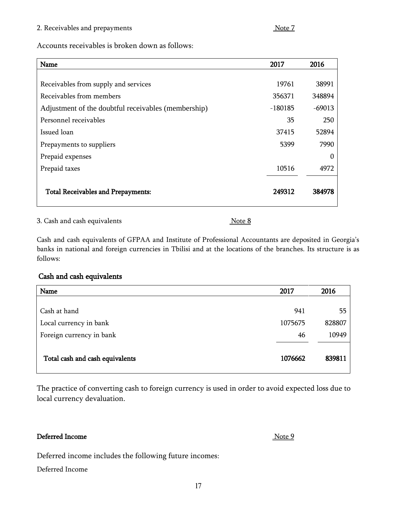#### 2. Receivables and prepayments  $\frac{\text{Note } 7}{\text{Note } 7}$

Accounts receivables is broken down as follows:

| Name                                                | 2017      | 2016     |
|-----------------------------------------------------|-----------|----------|
|                                                     |           |          |
| Receivables from supply and services                | 19761     | 38991    |
| Receivables from members                            | 356371    | 348894   |
| Adjustment of the doubtful receivables (membership) | $-180185$ | $-69013$ |
| Personnel receivables                               | 35        | 250      |
| Issued loan                                         | 37415     | 52894    |
| Prepayments to suppliers                            | 5399      | 7990     |
| Prepaid expenses                                    |           | 0        |
| Prepaid taxes                                       | 10516     | 4972     |
| <b>Total Receivables and Prepayments:</b>           | 249312    | 384978   |

3. Cash and cash equivalents  $\sqrt{8}$ 

Cash and cash equivalents of GFPAA and Institute of Professional Accountants are deposited in Georgia"s banks in national and foreign currencies in Tbilisi and at the locations of the branches. Its structure is as follows:

### Cash and cash equivalents

| Name                            | 2017    | 2016   |
|---------------------------------|---------|--------|
|                                 |         |        |
| Cash at hand                    | 941     | 55     |
| Local currency in bank          | 1075675 | 828807 |
| Foreign currency in bank        | 46      | 10949  |
| Total cash and cash equivalents | 1076662 | 839811 |

The practice of converting cash to foreign currency is used in order to avoid expected loss due to local currency devaluation.

### Deferred Income Note 9

Deferred income includes the following future incomes:

Deferred Income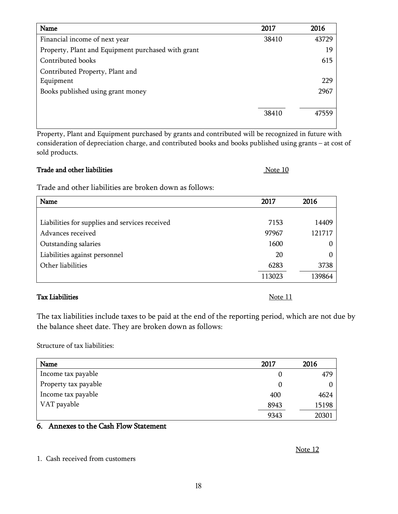| Name                                               | 2017  | 2016  |
|----------------------------------------------------|-------|-------|
| Financial income of next year                      | 38410 | 43729 |
| Property, Plant and Equipment purchased with grant |       | 19    |
| Contributed books                                  |       | 615   |
| Contributed Property, Plant and                    |       |       |
| Equipment                                          |       | 229   |
| Books published using grant money                  |       | 2967  |
|                                                    |       |       |
|                                                    | 38410 | 47559 |
|                                                    |       |       |

Property, Plant and Equipment purchased by grants and contributed will be recognized in future with consideration of depreciation charge, and contributed books and books published using grants – at cost of sold products.

| Trade and other liabilities | Note 10 |
|-----------------------------|---------|
|-----------------------------|---------|

Trade and other liabilities are broken down as follows:

| Name                                           | 2017   | 2016   |
|------------------------------------------------|--------|--------|
|                                                |        |        |
| Liabilities for supplies and services received | 7153   | 14409  |
| Advances received                              | 97967  | 121717 |
| Outstanding salaries                           | 1600   | 0      |
| Liabilities against personnel                  | 20     |        |
| Other liabilities                              | 6283   | 3738   |
|                                                | 113023 | 139864 |

#### Tax Liabilities Note 11

The tax liabilities include taxes to be paid at the end of the reporting period, which are not due by the balance sheet date. They are broken down as follows:

Structure of tax liabilities:

| Name                 | 2017 | 2016  |
|----------------------|------|-------|
| Income tax payable   |      | 479   |
| Property tax payable |      |       |
| Income tax payable   | 400  | 4624  |
| VAT payable          | 8943 | 15198 |
|                      | 9343 | 20301 |

# 6. Annexes to the Cash Flow Statement

#### Note 12

1. Cash received from customers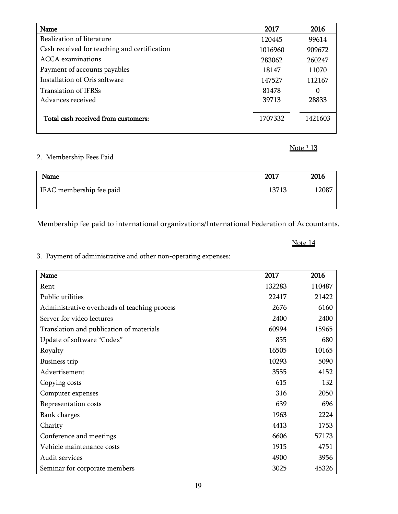| Name                                         | 2017    | 2016     |
|----------------------------------------------|---------|----------|
| Realization of literature                    | 120445  | 99614    |
| Cash received for teaching and certification | 1016960 | 909672   |
| ACCA examinations                            | 283062  | 260247   |
| Payment of accounts payables                 | 18147   | 11070    |
| Installation of Oris software                | 147527  | 112167   |
| <b>Translation of IFRSs</b>                  | 81478   | $\theta$ |
| Advances received                            | 39713   | 28833    |
|                                              |         |          |
| Total cash received from customers:          | 1707332 | 1421603  |
|                                              |         |          |

### 2. Membership Fees Paid

| Name                     | 2017  | 2016  |
|--------------------------|-------|-------|
| IFAC membership fee paid | 13713 | 12087 |
|                          |       |       |

Membership fee paid to international organizations/International Federation of Accountants.

### Note 14

Note 1 13

3. Payment of administrative and other non-operating expenses:

| Name                                         | 2017   | 2016   |
|----------------------------------------------|--------|--------|
| Rent                                         | 132283 | 110487 |
| Public utilities                             | 22417  | 21422  |
| Administrative overheads of teaching process | 2676   | 6160   |
| Server for video lectures                    | 2400   | 2400   |
| Translation and publication of materials     | 60994  | 15965  |
| Update of software "Codex"                   | 855    | 680    |
| Royalty                                      | 16505  | 10165  |
| <b>Business trip</b>                         | 10293  | 5090   |
| Advertisement                                | 3555   | 4152   |
| Copying costs                                | 615    | 132    |
| Computer expenses                            | 316    | 2050   |
| Representation costs                         | 639    | 696    |
| Bank charges                                 | 1963   | 2224   |
| Charity                                      | 4413   | 1753   |
| Conference and meetings                      | 6606   | 57173  |
| Vehicle maintenance costs                    | 1915   | 4751   |
| Audit services                               | 4900   | 3956   |
| Seminar for corporate members                | 3025   | 45326  |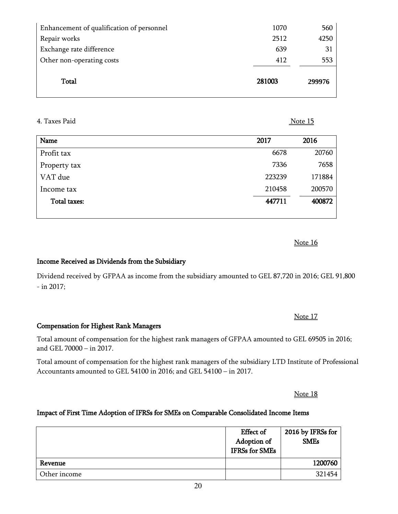| ۰.<br>×<br>M. |  |
|---------------|--|

| <b>Total</b>                              | 281003 | 299976 |
|-------------------------------------------|--------|--------|
| Other non-operating costs                 | 412    | 553    |
| Exchange rate difference                  | 639    | 31     |
| Repair works                              | 2512   | 4250   |
| Enhancement of qualification of personnel | 1070   | 560    |
|                                           |        |        |

#### 4. Taxes Paid Note 15

- in 2017;

| Name         | 2017   | 2016   |
|--------------|--------|--------|
| Profit tax   | 6678   | 20760  |
| Property tax | 7336   | 7658   |
| VAT due      | 223239 | 171884 |
| Income tax   | 210458 | 200570 |
| Total taxes: | 447711 | 400872 |
|              |        |        |

Note 16

Note 17

Total amount of compensation for the highest rank managers of GFPAA amounted to GEL 69505 in 2016; and GEL 70000 – in 2017.

Dividend received by GFPAA as income from the subsidiary amounted to GEL 87,720 in 2016; GEL 91,800

Total amount of compensation for the highest rank managers of the subsidiary LTD Institute of Professional Accountants amounted to GEL 54100 in 2016; and GEL 54100 – in 2017.

Note 18

### Impact of First Time Adoption of IFRSs for SMEs on Comparable Consolidated Income Items

|              | <b>Effect of</b><br>Adoption of<br><b>IFRSs</b> for SMEs | 2016 by IFRSs for<br><b>SMEs</b> |
|--------------|----------------------------------------------------------|----------------------------------|
| Revenue      |                                                          | 1200760                          |
| Other income |                                                          | 321454                           |

Compensation for Highest Rank Managers

Income Received as Dividends from the Subsidiary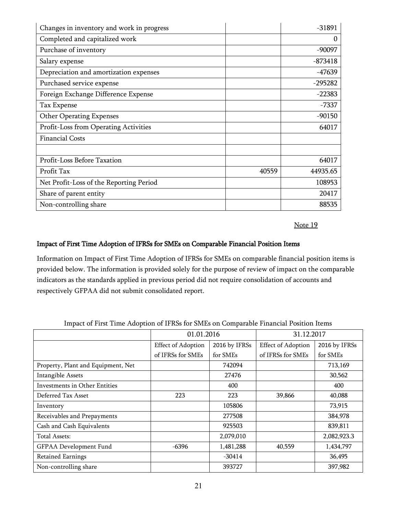| Changes in inventory and work in progress |       | $-31891$  |
|-------------------------------------------|-------|-----------|
| Completed and capitalized work            |       | 0         |
| Purchase of inventory                     |       | $-90097$  |
| Salary expense                            |       | $-873418$ |
| Depreciation and amortization expenses    |       | $-47639$  |
| Purchased service expense                 |       | $-295282$ |
| Foreign Exchange Difference Expense       |       | $-22383$  |
| Tax Expense                               |       | -7337     |
| <b>Other Operating Expenses</b>           |       | $-90150$  |
| Profit-Loss from Operating Activities     |       | 64017     |
| <b>Financial Costs</b>                    |       |           |
|                                           |       |           |
| Profit-Loss Before Taxation               |       | 64017     |
| Profit Tax                                | 40559 | 44935.65  |
| Net Profit-Loss of the Reporting Period   |       | 108953    |
| Share of parent entity                    |       | 20417     |
| Non-controlling share                     |       | 88535     |

Note 19

#### Impact of First Time Adoption of IFRSs for SMEs on Comparable Financial Position Items

Information on Impact of First Time Adoption of IFRSs for SMEs on comparable financial position items is provided below. The information is provided solely for the purpose of review of impact on the comparable indicators as the standards applied in previous period did not require consolidation of accounts and respectively GFPAA did not submit consolidated report.

|                                    | 01.01.2016                |               | 31.12.2017                |               |
|------------------------------------|---------------------------|---------------|---------------------------|---------------|
|                                    | <b>Effect of Adoption</b> | 2016 by IFRSs | <b>Effect of Adoption</b> | 2016 by IFRSs |
|                                    | of IFRSs for SMEs         | for SMEs      | of IFRSs for SMEs         | for SMEs      |
| Property, Plant and Equipment, Net |                           | 742094        |                           | 713,169       |
| <b>Intangible Assets</b>           |                           | 27476         |                           | 30,562        |
| Investments in Other Entities      |                           | 400           |                           | 400           |
| Deferred Tax Asset                 | 223                       | 223           | 39,866                    | 40,088        |
| Inventory                          |                           | 105806        |                           | 73,915        |
| Receivables and Prepayments        |                           | 277508        |                           | 384,978       |
| Cash and Cash Equivalents          |                           | 925503        |                           | 839,811       |
| Total Assets:                      |                           | 2,079,010     |                           | 2,082,923.3   |
| GFPAA Development Fund             | $-6396$                   | 1,481,288     | 40,559                    | 1,434,797     |
| <b>Retained Earnings</b>           |                           | $-30414$      |                           | 36,495        |
| Non-controlling share              |                           | 393727        |                           | 397,982       |

Impact of First Time Adoption of IFRSs for SMEs on Comparable Financial Position Items